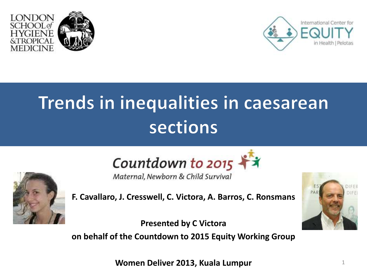



## Trends in inequalities in caesarean sections



Maternal, Newborn & Child Survival



**F. Cavallaro, J. Cresswell, C. Victora, A. Barros, C. Ronsmans**

**Presented by C Victora on behalf of the Countdown to 2015 Equity Working Group**



**Women Deliver 2013, Kuala Lumpur** 1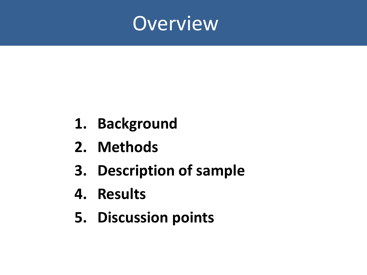

- **1. Background**
- **2. Methods**
- **3. Description of sample**
- **4. Results**
- **5. Discussion points**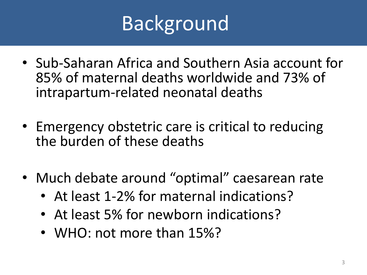# **Background**

- Sub-Saharan Africa and Southern Asia account for 85% of maternal deaths worldwide and 73% of intrapartum-related neonatal deaths
- Emergency obstetric care is critical to reducing the burden of these deaths
- Much debate around "optimal" caesarean rate
	- At least 1-2% for maternal indications?
	- At least 5% for newborn indications?
	- WHO: not more than 15%?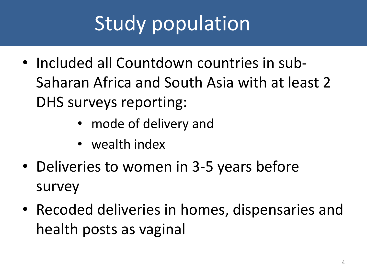# Study population

- Included all Countdown countries in sub-Saharan Africa and South Asia with at least 2 DHS surveys reporting:
	- mode of delivery and
	- wealth index
- Deliveries to women in 3-5 years before survey
- Recoded deliveries in homes, dispensaries and health posts as vaginal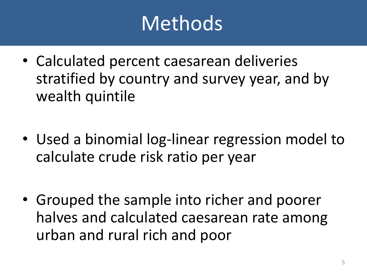# Methods

- Calculated percent caesarean deliveries stratified by country and survey year, and by wealth quintile
- Used a binomial log-linear regression model to calculate crude risk ratio per year
- Grouped the sample into richer and poorer halves and calculated caesarean rate among urban and rural rich and poor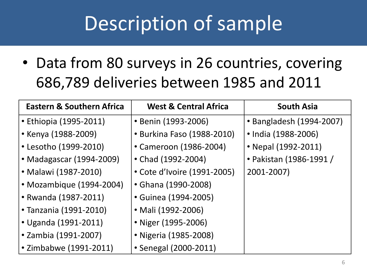# Description of sample

• Data from 80 surveys in 26 countries, covering 686,789 deliveries between 1985 and 2011

| <b>Eastern &amp; Southern Africa</b> | <b>West &amp; Central Africa</b> | <b>South Asia</b>        |
|--------------------------------------|----------------------------------|--------------------------|
| • Ethiopia (1995-2011)               | • Benin (1993-2006)              | • Bangladesh (1994-2007) |
| • Kenya (1988-2009)                  | • Burkina Faso (1988-2010)       | • India (1988-2006)      |
| • Lesotho (1999-2010)                | • Cameroon (1986-2004)           | • Nepal (1992-2011)      |
| • Madagascar (1994-2009)             | • Chad (1992-2004)               | • Pakistan (1986-1991 /  |
| • Malawi (1987-2010)                 | • Cote d'Ivoire (1991-2005)      | 2001-2007)               |
| • Mozambique (1994-2004)             | • Ghana (1990-2008)              |                          |
| • Rwanda (1987-2011)                 | • Guinea (1994-2005)             |                          |
| • Tanzania (1991-2010)               | • Mali (1992-2006)               |                          |
| • Uganda (1991-2011)                 | • Niger (1995-2006)              |                          |
| • Zambia (1991-2007)                 | • Nigeria (1985-2008)            |                          |
| • Zimbabwe (1991-2011)               | • Senegal (2000-2011)            |                          |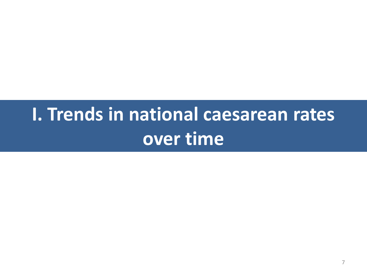## **I. Trends in national caesarean rates over time**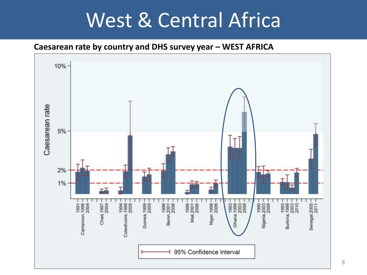#### West & Central Africa

#### **Caesarean rate by country and DHS survey year – WEST AFRICA**

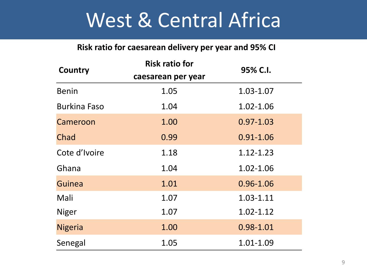## West & Central Africa

#### **Risk ratio for caesarean delivery per year and 95% CI**

| Country             | <b>Risk ratio for</b> | 95% C.I.      |
|---------------------|-----------------------|---------------|
|                     | caesarean per year    |               |
| <b>Benin</b>        | 1.05                  | 1.03-1.07     |
| <b>Burkina Faso</b> | 1.04                  | 1.02-1.06     |
| Cameroon            | 1.00                  | $0.97 - 1.03$ |
| Chad                | 0.99                  | $0.91 - 1.06$ |
| Cote d'Ivoire       | 1.18                  | 1.12-1.23     |
| Ghana               | 1.04                  | 1.02-1.06     |
| Guinea              | 1.01                  | $0.96 - 1.06$ |
| Mali                | 1.07                  | 1.03-1.11     |
| <b>Niger</b>        | 1.07                  | $1.02 - 1.12$ |
| <b>Nigeria</b>      | 1.00                  | 0.98-1.01     |
| Senegal             | 1.05                  | 1.01-1.09     |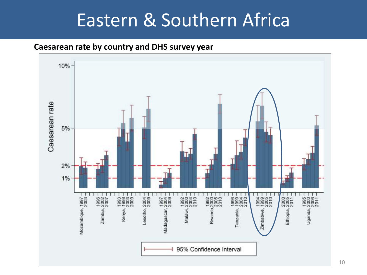#### Eastern & Southern Africa

#### **Caesarean rate by country and DHS survey year**

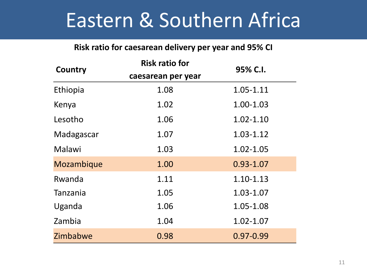#### Eastern & Southern Africa

#### **Risk ratio for caesarean delivery per year and 95% CI**

| Country    | <b>Risk ratio for</b> | 95% C.I.      |
|------------|-----------------------|---------------|
|            | caesarean per year    |               |
| Ethiopia   | 1.08                  | 1.05-1.11     |
| Kenya      | 1.02                  | 1.00-1.03     |
| Lesotho    | 1.06                  | $1.02 - 1.10$ |
| Madagascar | 1.07                  | $1.03 - 1.12$ |
| Malawi     | 1.03                  | 1.02-1.05     |
| Mozambique | 1.00                  | $0.93 - 1.07$ |
| Rwanda     | 1.11                  | $1.10 - 1.13$ |
| Tanzania   | 1.05                  | 1.03-1.07     |
| Uganda     | 1.06                  | 1.05-1.08     |
| Zambia     | 1.04                  | 1.02-1.07     |
| Zimbabwe   | 0.98                  | 0.97-0.99     |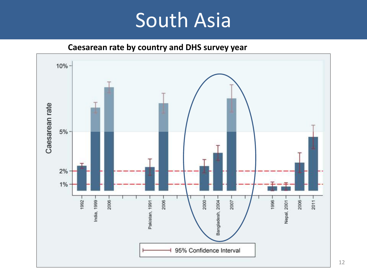### South Asia

**Caesarean rate by country and DHS survey year** 

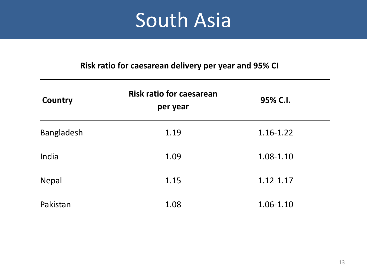## South Asia

#### **Risk ratio for caesarean delivery per year and 95% CI**

| Country           | <b>Risk ratio for caesarean</b><br>per year | 95% C.I.      |
|-------------------|---------------------------------------------|---------------|
| <b>Bangladesh</b> | 1.19                                        | 1.16-1.22     |
| India             | 1.09                                        | 1.08-1.10     |
| <b>Nepal</b>      | 1.15                                        | $1.12 - 1.17$ |
| Pakistan          | 1.08                                        | 1.06-1.10     |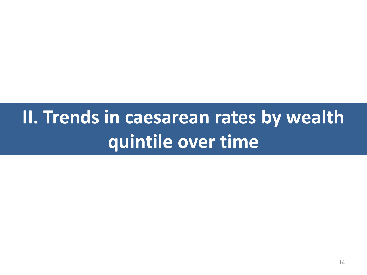## **II. Trends in caesarean rates by wealth quintile over time**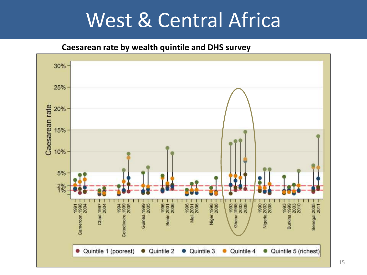### West & Central Africa

**Caesarean rate by wealth quintile and DHS survey**

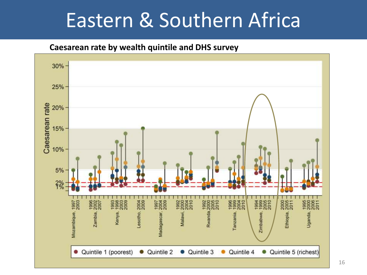### Eastern & Southern Africa

#### **Caesarean rate by wealth quintile and DHS survey**

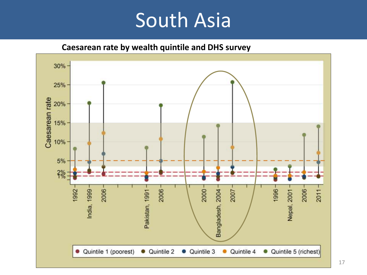### South Asia

**Caesarean rate by wealth quintile and DHS survey**

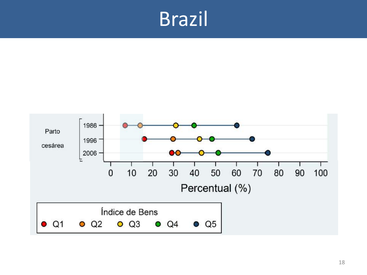### Brazil

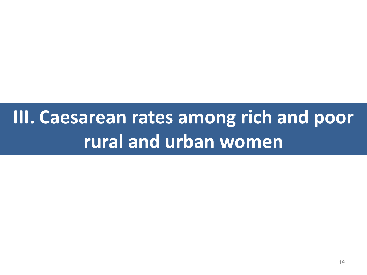## **III. Caesarean rates among rich and poor rural and urban women**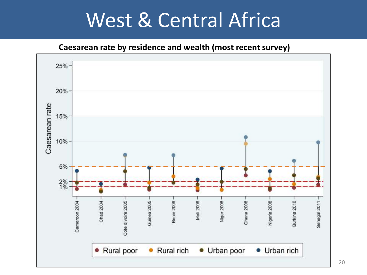### West & Central Africa

**Caesarean rate by residence and wealth (most recent survey)**

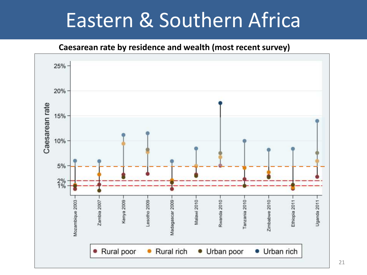### Eastern & Southern Africa

**Caesarean rate by residence and wealth (most recent survey)**

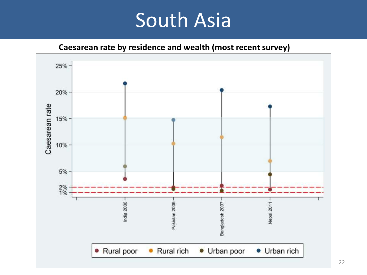### South Asia

**Caesarean rate by residence and wealth (most recent survey)**

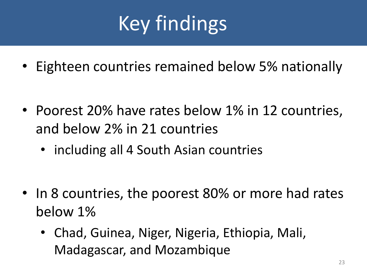# Key findings

• Eighteen countries remained below 5% nationally

- Poorest 20% have rates below 1% in 12 countries, and below 2% in 21 countries
	- including all 4 South Asian countries

- In 8 countries, the poorest 80% or more had rates below 1%
	- Chad, Guinea, Niger, Nigeria, Ethiopia, Mali, Madagascar, and Mozambique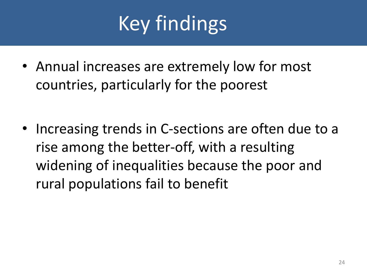# Key findings

• Annual increases are extremely low for most countries, particularly for the poorest

• Increasing trends in C-sections are often due to a rise among the better-off, with a resulting widening of inequalities because the poor and rural populations fail to benefit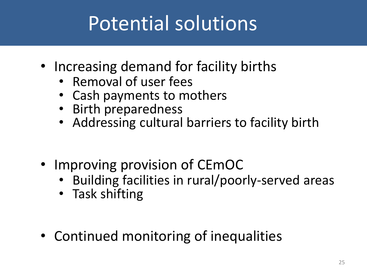# Potential solutions

- Increasing demand for facility births
	- Removal of user fees
	- Cash payments to mothers
	- Birth preparedness
	- Addressing cultural barriers to facility birth
- Improving provision of CEmOC
	- Building facilities in rural/poorly-served areas
	- Task shifting
- Continued monitoring of inequalities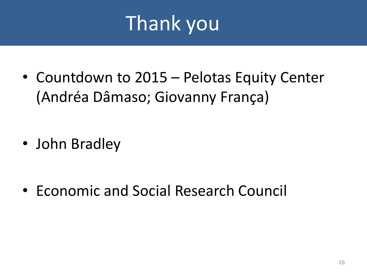# Thank you

• Countdown to 2015 – Pelotas Equity Center (Andréa Dâmaso; Giovanny França)

• John Bradley

• Economic and Social Research Council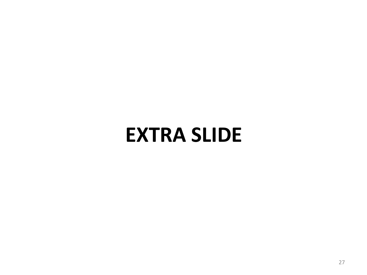### **EXTRA SLIDE**